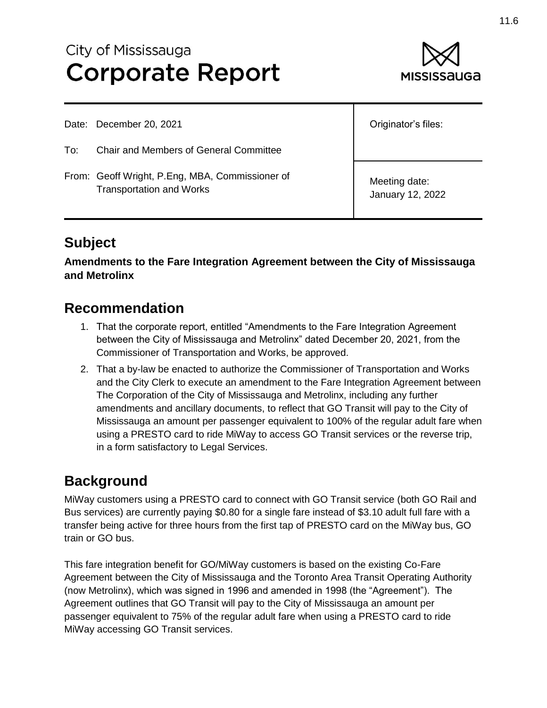# City of Mississauga **Corporate Report**



Date: December 20, 2021

To: Chair and Members of General Committee

From: Geoff Wright, P.Eng, MBA, Commissioner of Transportation and Works

Originator's files:

Meeting date: January 12, 2022

## **Subject**

**Amendments to the Fare Integration Agreement between the City of Mississauga and Metrolinx**

#### **Recommendation**

- 1. That the corporate report, entitled "Amendments to the Fare Integration Agreement between the City of Mississauga and Metrolinx" dated December 20, 2021, from the Commissioner of Transportation and Works, be approved.
- 2. That a by-law be enacted to authorize the Commissioner of Transportation and Works and the City Clerk to execute an amendment to the Fare Integration Agreement between The Corporation of the City of Mississauga and Metrolinx, including any further amendments and ancillary documents, to reflect that GO Transit will pay to the City of Mississauga an amount per passenger equivalent to 100% of the regular adult fare when using a PRESTO card to ride MiWay to access GO Transit services or the reverse trip, in a form satisfactory to Legal Services.

### **Background**

MiWay customers using a PRESTO card to connect with GO Transit service (both GO Rail and Bus services) are currently paying \$0.80 for a single fare instead of \$3.10 adult full fare with a transfer being active for three hours from the first tap of PRESTO card on the MiWay bus, GO train or GO bus.

This fare integration benefit for GO/MiWay customers is based on the existing Co-Fare Agreement between the City of Mississauga and the Toronto Area Transit Operating Authority (now Metrolinx), which was signed in 1996 and amended in 1998 (the "Agreement"). The Agreement outlines that GO Transit will pay to the City of Mississauga an amount per passenger equivalent to 75% of the regular adult fare when using a PRESTO card to ride MiWay accessing GO Transit services.